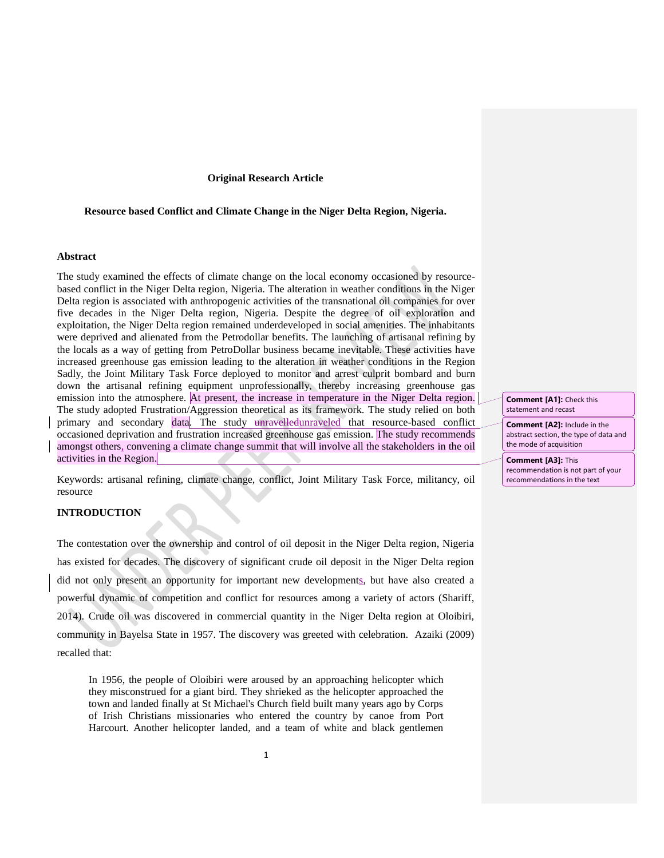## **Original Research Article**

# **Resource based Conflict and Climate Change in the Niger Delta Region, Nigeria.**

#### **Abstract**

The study examined the effects of climate change on the local economy occasioned by resourcebased conflict in the Niger Delta region, Nigeria. The alteration in weather conditions in the Niger Delta region is associated with anthropogenic activities of the transnational oil companies for over five decades in the Niger Delta region, Nigeria. Despite the degree of oil exploration and exploitation, the Niger Delta region remained underdeveloped in social amenities. The inhabitants were deprived and alienated from the Petrodollar benefits. The launching of artisanal refining by the locals as a way of getting from PetroDollar business became inevitable. These activities have increased greenhouse gas emission leading to the alteration in weather conditions in the Region Sadly, the Joint Military Task Force deployed to monitor and arrest culprit bombard and burn down the artisanal refining equipment unprofessionally, thereby increasing greenhouse gas emission into the atmosphere. At present, the increase in temperature in the Niger Delta region. The study adopted Frustration/Aggression theoretical as its framework. The study relied on both primary and secondary data. The study unravelledunraveled that resource-based conflict occasioned deprivation and frustration increased greenhouse gas emission. The study recommends amongst others, convening a climate change summit that will involve all the stakeholders in the oil activities in the Region.

Keywords: artisanal refining, climate change, conflict, Joint Military Task Force, militancy, oil resource

# **INTRODUCTION**

The contestation over the ownership and control of oil deposit in the Niger Delta region, Nigeria has existed for decades. The discovery of significant crude oil deposit in the Niger Delta region did not only present an opportunity for important new developments, but have also created a powerful dynamic of competition and conflict for resources among a variety of actors (Shariff, 2014). Crude oil was discovered in commercial quantity in the Niger Delta region at Oloibiri, community in Bayelsa State in 1957. The discovery was greeted with celebration. Azaiki (2009) recalled that:

In 1956, the people of Oloibiri were aroused by an approaching helicopter which they misconstrued for a giant bird. They shrieked as the helicopter approached the town and landed finally at St Michael's Church field built many years ago by Corps of Irish Christians missionaries who entered the country by canoe from Port Harcourt. Another helicopter landed, and a team of white and black gentlemen

**Comment [A1]:** Check this statement and recast

**Comment [A2]:** Include in the abstract section, the type of data and the mode of acquisition

**Comment [A3]:** This recommendation is not part of your recommendations in the text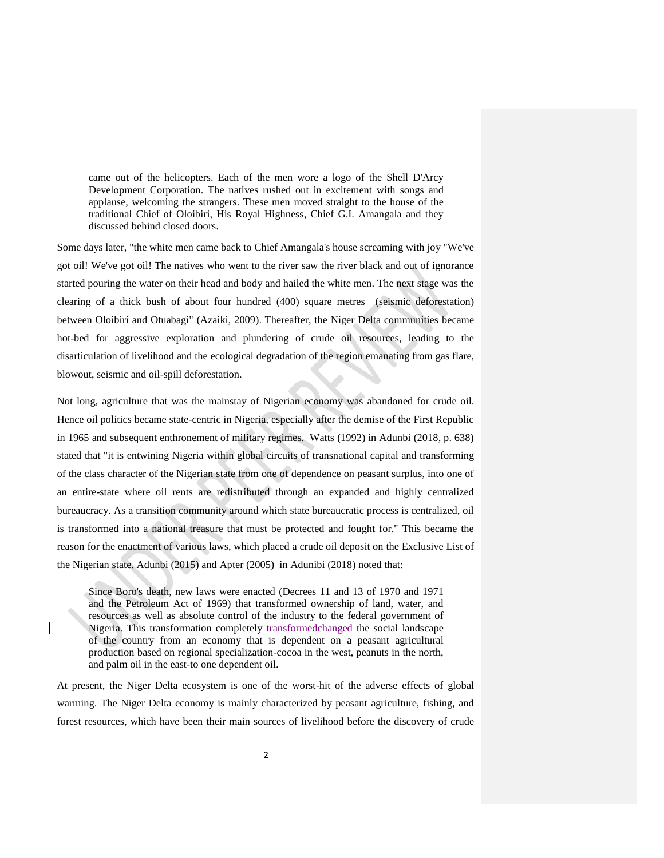came out of the helicopters. Each of the men wore a logo of the Shell D'Arcy Development Corporation. The natives rushed out in excitement with songs and applause, welcoming the strangers. These men moved straight to the house of the traditional Chief of Oloibiri, His Royal Highness, Chief G.I. Amangala and they discussed behind closed doors.

Some days later, "the white men came back to Chief Amangala's house screaming with joy "We've got oil! We've got oil! The natives who went to the river saw the river black and out of ignorance started pouring the water on their head and body and hailed the white men. The next stage was the clearing of a thick bush of about four hundred (400) square metres (seismic deforestation) between Oloibiri and Otuabagi" (Azaiki, 2009). Thereafter, the Niger Delta communities became hot-bed for aggressive exploration and plundering of crude oil resources, leading to the disarticulation of livelihood and the ecological degradation of the region emanating from gas flare, blowout, seismic and oil-spill deforestation.

Not long, agriculture that was the mainstay of Nigerian economy was abandoned for crude oil. Hence oil politics became state-centric in Nigeria, especially after the demise of the First Republic in 1965 and subsequent enthronement of military regimes. Watts (1992) in Adunbi (2018, p. 638) stated that "it is entwining Nigeria within global circuits of transnational capital and transforming of the class character of the Nigerian state from one of dependence on peasant surplus, into one of an entire-state where oil rents are redistributed through an expanded and highly centralized bureaucracy. As a transition community around which state bureaucratic process is centralized, oil is transformed into a national treasure that must be protected and fought for." This became the reason for the enactment of various laws, which placed a crude oil deposit on the Exclusive List of the Nigerian state. Adunbi (2015) and Apter (2005) in Adunibi (2018) noted that:

Since Boro's death, new laws were enacted (Decrees 11 and 13 of 1970 and 1971 and the Petroleum Act of 1969) that transformed ownership of land, water, and resources as well as absolute control of the industry to the federal government of Nigeria. This transformation completely transformedchanged the social landscape of the country from an economy that is dependent on a peasant agricultural production based on regional specialization-cocoa in the west, peanuts in the north, and palm oil in the east-to one dependent oil.

At present, the Niger Delta ecosystem is one of the worst-hit of the adverse effects of global warming. The Niger Delta economy is mainly characterized by peasant agriculture, fishing, and forest resources, which have been their main sources of livelihood before the discovery of crude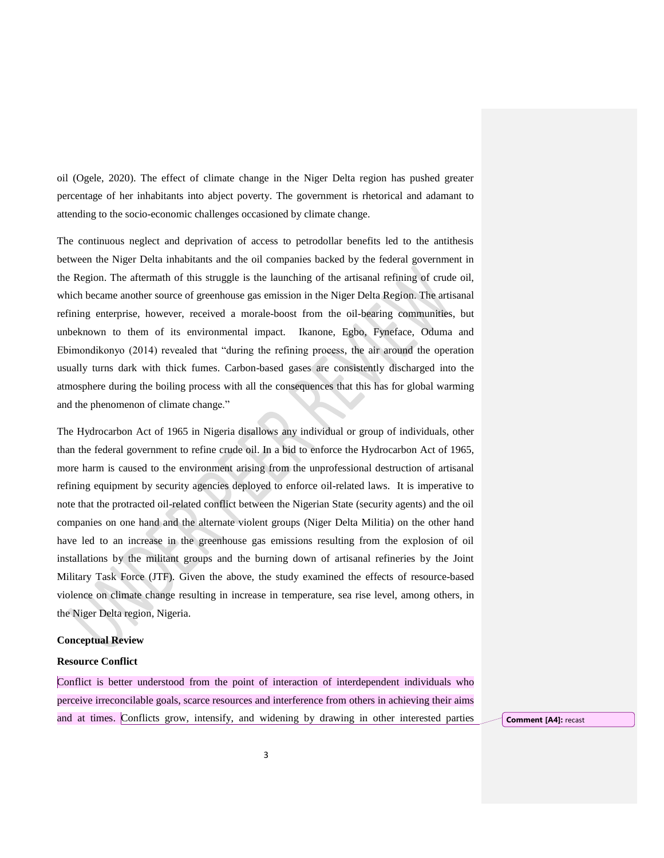oil (Ogele, 2020). The effect of climate change in the Niger Delta region has pushed greater percentage of her inhabitants into abject poverty. The government is rhetorical and adamant to attending to the socio-economic challenges occasioned by climate change.

The continuous neglect and deprivation of access to petrodollar benefits led to the antithesis between the Niger Delta inhabitants and the oil companies backed by the federal government in the Region. The aftermath of this struggle is the launching of the artisanal refining of crude oil, which became another source of greenhouse gas emission in the Niger Delta Region. The artisanal refining enterprise, however, received a morale-boost from the oil-bearing communities, but unbeknown to them of its environmental impact. Ikanone, Egbo, Fyneface, Oduma and Ebimondikonyo (2014) revealed that "during the refining process, the air around the operation usually turns dark with thick fumes. Carbon-based gases are consistently discharged into the atmosphere during the boiling process with all the consequences that this has for global warming and the phenomenon of climate change."

The Hydrocarbon Act of 1965 in Nigeria disallows any individual or group of individuals, other than the federal government to refine crude oil. In a bid to enforce the Hydrocarbon Act of 1965, more harm is caused to the environment arising from the unprofessional destruction of artisanal refining equipment by security agencies deployed to enforce oil-related laws. It is imperative to note that the protracted oil-related conflict between the Nigerian State (security agents) and the oil companies on one hand and the alternate violent groups (Niger Delta Militia) on the other hand have led to an increase in the greenhouse gas emissions resulting from the explosion of oil installations by the militant groups and the burning down of artisanal refineries by the Joint Military Task Force (JTF). Given the above, the study examined the effects of resource-based violence on climate change resulting in increase in temperature, sea rise level, among others, in the Niger Delta region, Nigeria.

## **Conceptual Review**

# **Resource Conflict**

Conflict is better understood from the point of interaction of interdependent individuals who perceive irreconcilable goals, scarce resources and interference from others in achieving their aims and at times. Conflicts grow, intensify, and widening by drawing in other interested parties **Comment [A4]:** recast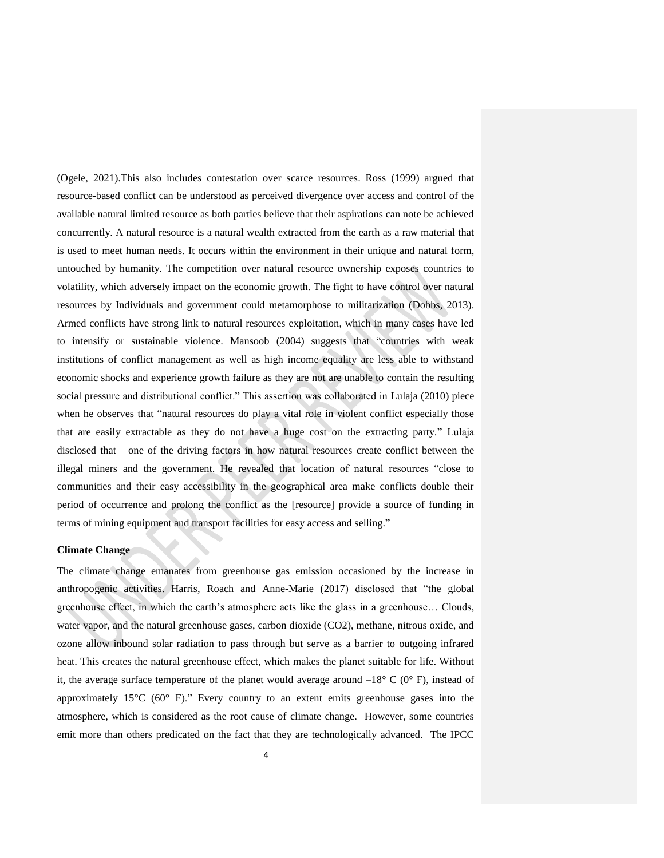(Ogele, 2021).This also includes contestation over scarce resources. Ross (1999) argued that resource-based conflict can be understood as perceived divergence over access and control of the available natural limited resource as both parties believe that their aspirations can note be achieved concurrently. A natural resource is a natural wealth extracted from the earth as a raw material that is used to meet human needs. It occurs within the environment in their unique and natural form, untouched by humanity. The competition over natural resource ownership exposes countries to volatility, which adversely impact on the economic growth. The fight to have control over natural resources by Individuals and government could metamorphose to militarization (Dobbs, 2013). Armed conflicts have strong link to natural resources exploitation, which in many cases have led to intensify or sustainable violence. Mansoob (2004) suggests that "countries with weak institutions of conflict management as well as high income equality are less able to withstand economic shocks and experience growth failure as they are not are unable to contain the resulting social pressure and distributional conflict." This assertion was collaborated in Lulaja (2010) piece when he observes that "natural resources do play a vital role in violent conflict especially those that are easily extractable as they do not have a huge cost on the extracting party." Lulaja disclosed that one of the driving factors in how natural resources create conflict between the illegal miners and the government. He revealed that location of natural resources "close to communities and their easy accessibility in the geographical area make conflicts double their period of occurrence and prolong the conflict as the [resource] provide a source of funding in terms of mining equipment and transport facilities for easy access and selling."

# **Climate Change**

The climate change emanates from greenhouse gas emission occasioned by the increase in anthropogenic activities. Harris, Roach and Anne-Marie (2017) disclosed that "the global greenhouse effect, in which the earth's atmosphere acts like the glass in a greenhouse… Clouds, water vapor, and the natural greenhouse gases, carbon dioxide (CO2), methane, nitrous oxide, and ozone allow inbound solar radiation to pass through but serve as a barrier to outgoing infrared heat. This creates the natural greenhouse effect, which makes the planet suitable for life. Without it, the average surface temperature of the planet would average around  $-18^{\circ}$  C (0° F), instead of approximately  $15^{\circ}C$  (60° F)." Every country to an extent emits greenhouse gases into the atmosphere, which is considered as the root cause of climate change. However, some countries emit more than others predicated on the fact that they are technologically advanced. The IPCC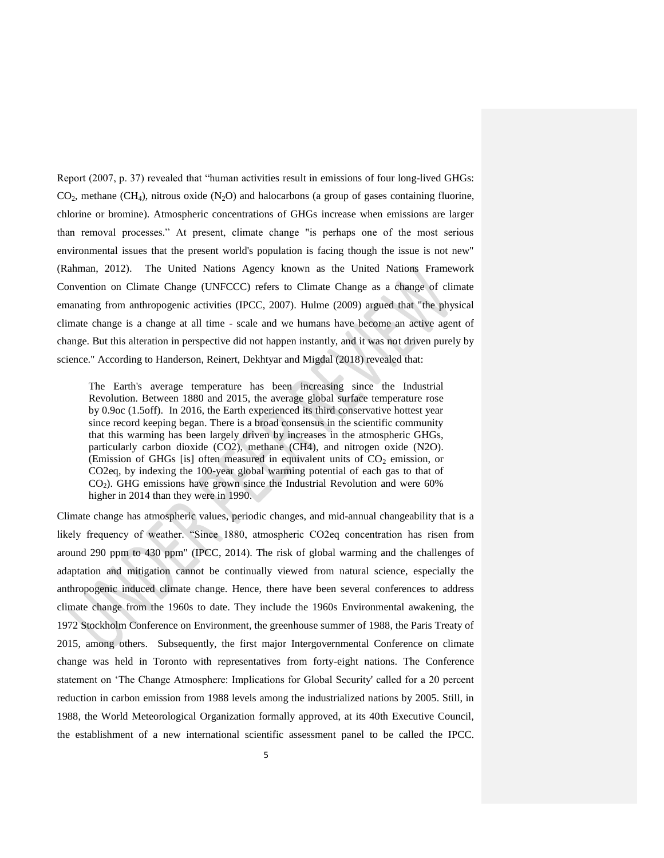Report (2007, p. 37) revealed that "human activities result in emissions of four long-lived GHGs:  $CO<sub>2</sub>$ , methane (CH<sub>4</sub>), nitrous oxide (N<sub>2</sub>O) and halocarbons (a group of gases containing fluorine, chlorine or bromine). Atmospheric concentrations of GHGs increase when emissions are larger than removal processes." At present, climate change "is perhaps one of the most serious environmental issues that the present world's population is facing though the issue is not new" (Rahman, 2012). The United Nations Agency known as the United Nations Framework Convention on Climate Change (UNFCCC) refers to Climate Change as a change of climate emanating from anthropogenic activities (IPCC, 2007). Hulme (2009) argued that "the physical climate change is a change at all time - scale and we humans have become an active agent of change. But this alteration in perspective did not happen instantly, and it was not driven purely by science." According to Handerson, Reinert, Dekhtyar and Migdal (2018) revealed that:

The Earth's average temperature has been increasing since the Industrial Revolution. Between 1880 and 2015, the average global surface temperature rose by 0.9oc (1.5off). In 2016, the Earth experienced its third conservative hottest year since record keeping began. There is a broad consensus in the scientific community that this warming has been largely driven by increases in the atmospheric GHGs, particularly carbon dioxide (CO2), methane (CH4), and nitrogen oxide (N2O). (Emission of GHGs [is] often measured in equivalent units of  $CO<sub>2</sub>$  emission, or CO2eq, by indexing the 100-year global warming potential of each gas to that of  $CO<sub>2</sub>$ ). GHG emissions have grown since the Industrial Revolution and were 60% higher in 2014 than they were in 1990.

Climate change has atmospheric values, periodic changes, and mid-annual changeability that is a likely frequency of weather. "Since 1880, atmospheric CO2eq concentration has risen from around 290 ppm to 430 ppm" (IPCC, 2014). The risk of global warming and the challenges of adaptation and mitigation cannot be continually viewed from natural science, especially the anthropogenic induced climate change. Hence, there have been several conferences to address climate change from the 1960s to date. They include the 1960s Environmental awakening, the 1972 Stockholm Conference on Environment, the greenhouse summer of 1988, the Paris Treaty of 2015, among others. Subsequently, the first major Intergovernmental Conference on climate change was held in Toronto with representatives from forty-eight nations. The Conference statement on 'The Change Atmosphere: Implications for Global Security' called for a 20 percent reduction in carbon emission from 1988 levels among the industrialized nations by 2005. Still, in 1988, the World Meteorological Organization formally approved, at its 40th Executive Council, the establishment of a new international scientific assessment panel to be called the IPCC.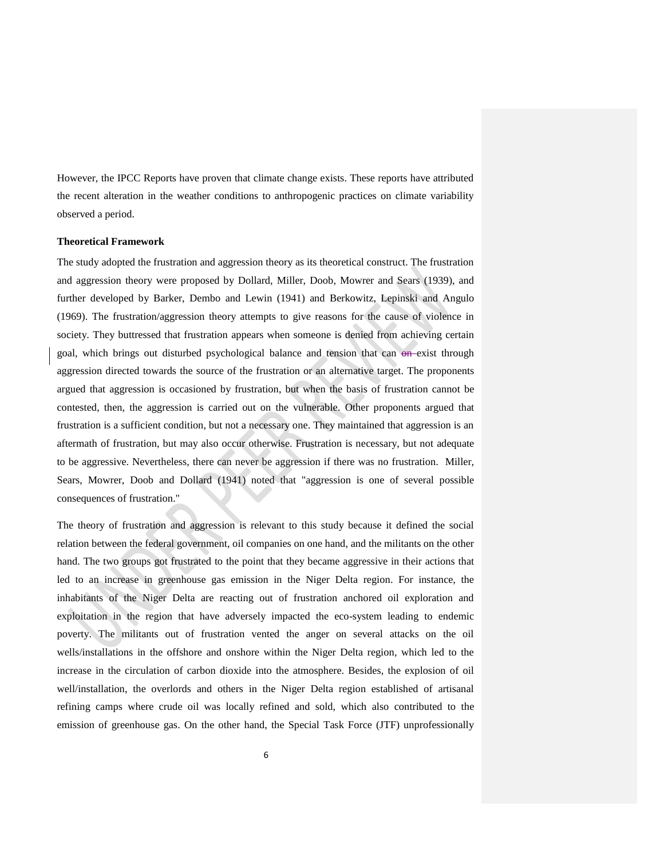However, the IPCC Reports have proven that climate change exists. These reports have attributed the recent alteration in the weather conditions to anthropogenic practices on climate variability observed a period.

## **Theoretical Framework**

The study adopted the frustration and aggression theory as its theoretical construct. The frustration and aggression theory were proposed by Dollard, Miller, Doob, Mowrer and Sears (1939), and further developed by Barker, Dembo and Lewin (1941) and Berkowitz, Lepinski and Angulo (1969). The frustration/aggression theory attempts to give reasons for the cause of violence in society. They buttressed that frustration appears when someone is denied from achieving certain goal, which brings out disturbed psychological balance and tension that can  $\Theta$ -exist through aggression directed towards the source of the frustration or an alternative target. The proponents argued that aggression is occasioned by frustration, but when the basis of frustration cannot be contested, then, the aggression is carried out on the vulnerable. Other proponents argued that frustration is a sufficient condition, but not a necessary one. They maintained that aggression is an aftermath of frustration, but may also occur otherwise. Frustration is necessary, but not adequate to be aggressive. Nevertheless, there can never be aggression if there was no frustration. Miller, Sears, Mowrer, Doob and Dollard (1941) noted that "aggression is one of several possible consequences of frustration."

The theory of frustration and aggression is relevant to this study because it defined the social relation between the federal government, oil companies on one hand, and the militants on the other hand. The two groups got frustrated to the point that they became aggressive in their actions that led to an increase in greenhouse gas emission in the Niger Delta region. For instance, the inhabitants of the Niger Delta are reacting out of frustration anchored oil exploration and exploitation in the region that have adversely impacted the eco-system leading to endemic poverty. The militants out of frustration vented the anger on several attacks on the oil wells/installations in the offshore and onshore within the Niger Delta region, which led to the increase in the circulation of carbon dioxide into the atmosphere. Besides, the explosion of oil well/installation, the overlords and others in the Niger Delta region established of artisanal refining camps where crude oil was locally refined and sold, which also contributed to the emission of greenhouse gas. On the other hand, the Special Task Force (JTF) unprofessionally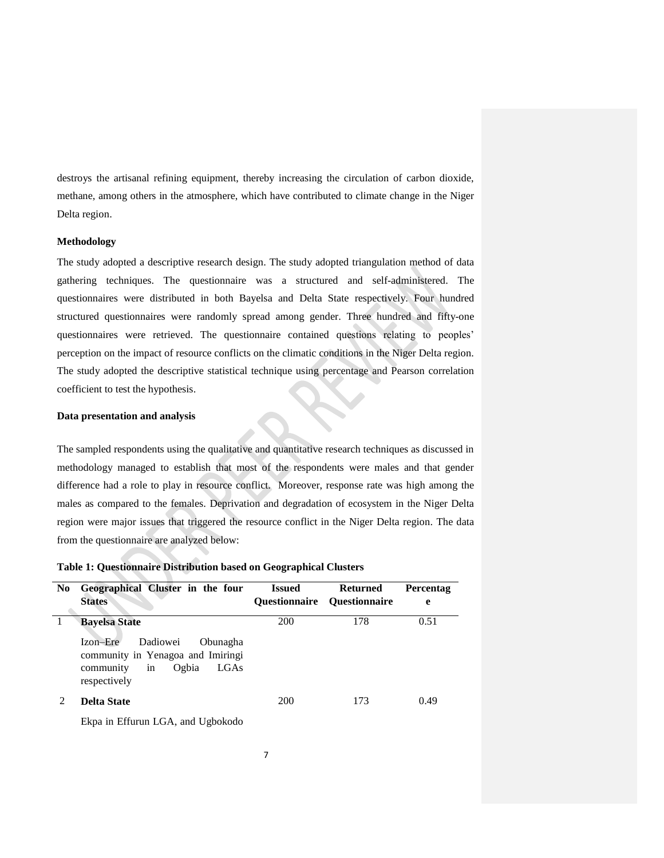destroys the artisanal refining equipment, thereby increasing the circulation of carbon dioxide, methane, among others in the atmosphere, which have contributed to climate change in the Niger Delta region.

## **Methodology**

The study adopted a descriptive research design. The study adopted triangulation method of data gathering techniques. The questionnaire was a structured and self-administered. The questionnaires were distributed in both Bayelsa and Delta State respectively. Four hundred structured questionnaires were randomly spread among gender. Three hundred and fifty-one questionnaires were retrieved. The questionnaire contained questions relating to peoples' perception on the impact of resource conflicts on the climatic conditions in the Niger Delta region. The study adopted the descriptive statistical technique using percentage and Pearson correlation coefficient to test the hypothesis.

# **Data presentation and analysis**

The sampled respondents using the qualitative and quantitative research techniques as discussed in methodology managed to establish that most of the respondents were males and that gender difference had a role to play in resource conflict. Moreover, response rate was high among the males as compared to the females. Deprivation and degradation of ecosystem in the Niger Delta region were major issues that triggered the resource conflict in the Niger Delta region. The data from the questionnaire are analyzed below:

|  |  |  |  | Table 1: Questionnaire Distribution based on Geographical Clusters |
|--|--|--|--|--------------------------------------------------------------------|
|--|--|--|--|--------------------------------------------------------------------|

| N <sub>0</sub> | Geographical Cluster in the four<br><b>States</b>                                                                                                 | <b>Issued</b><br><b>Ouestionnaire</b> | <b>Returned</b><br><b>Ouestionnaire</b> | <b>Percentag</b><br>e |
|----------------|---------------------------------------------------------------------------------------------------------------------------------------------------|---------------------------------------|-----------------------------------------|-----------------------|
|                | <b>Bayelsa State</b><br>Izon-Ere<br>Dadiowei<br>Obunagha<br>community in Yenagoa and Imiringi<br>Ogbia<br>LGAs<br>community<br>in<br>respectively | 200                                   | 178                                     | 0.51                  |
|                | <b>Delta State</b>                                                                                                                                | 200                                   | 173                                     | 0.49                  |

Ekpa in Effurun LGA, and Ugbokodo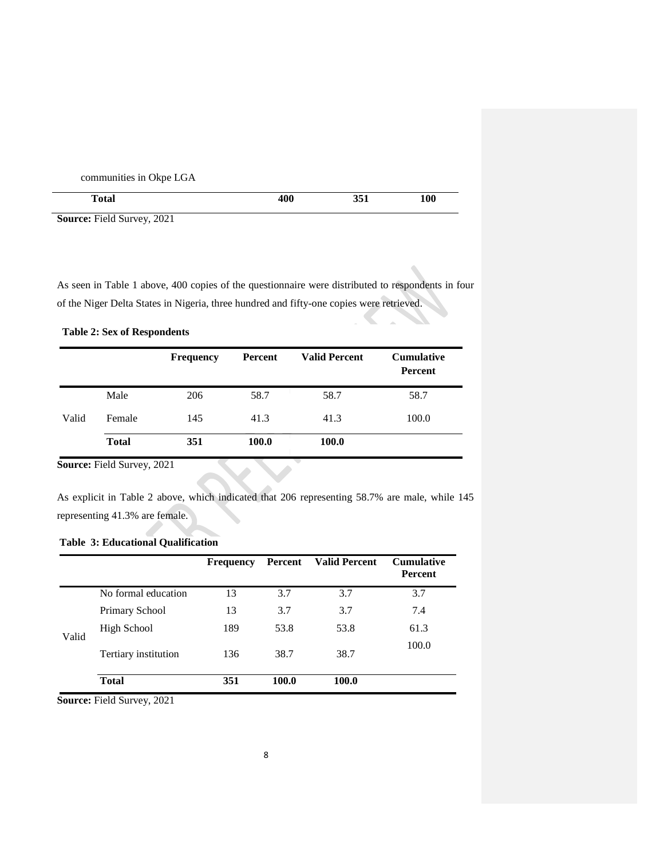communities in Okpe LGA

| <b>Total</b>                                                                                                                                                                                                                                                                                                                                                                                                                | 400 | 27<br>. .<br>$\sim$ Feb. 4. | 100 |
|-----------------------------------------------------------------------------------------------------------------------------------------------------------------------------------------------------------------------------------------------------------------------------------------------------------------------------------------------------------------------------------------------------------------------------|-----|-----------------------------|-----|
| $\alpha$ , $\beta$ , $\beta$ , $\gamma$ , $\gamma$ , $\gamma$ , $\gamma$ , $\gamma$ , $\gamma$ , $\gamma$ , $\gamma$ , $\gamma$ , $\gamma$ , $\gamma$ , $\gamma$ , $\gamma$ , $\gamma$ , $\gamma$ , $\gamma$ , $\gamma$ , $\gamma$ , $\gamma$ , $\gamma$ , $\gamma$ , $\gamma$ , $\gamma$ , $\gamma$ , $\gamma$ , $\gamma$ , $\gamma$ , $\gamma$ , $\gamma$ , $\gamma$ , $\gamma$ , $\gamma$ , $\gamma$ , $\gamma$ ,<br>001 |     |                             |     |

**Source:** Field Survey, 2021

As seen in Table 1 above, 400 copies of the questionnaire were distributed to respondents in four of the Niger Delta States in Nigeria, three hundred and fifty-one copies were retrieved.

|       |              | <b>Frequency</b> | Percent | <b>Valid Percent</b> | <b>Cumulative</b><br>Percent |
|-------|--------------|------------------|---------|----------------------|------------------------------|
|       | Male         | 206              | 58.7    | 58.7                 | 58.7                         |
| Valid | Female       | 145              | 41.3    | 41.3                 | 100.0                        |
|       | <b>Total</b> | 351              | 100.0   | 100.0                |                              |

**Table 2: Sex of Respondents**

**Source:** Field Survey, 2021

As explicit in Table 2 above, which indicated that 206 representing 58.7% are male, while 145 representing 41.3% are female.

# **Table 3: Educational Qualification**

|       |                      | <b>Frequency</b> | Percent | <b>Valid Percent</b> | <b>Cumulative</b><br><b>Percent</b> |
|-------|----------------------|------------------|---------|----------------------|-------------------------------------|
|       | No formal education  | 13               | 3.7     | 3.7                  | 3.7                                 |
| Valid | Primary School       | 13               | 3.7     | 3.7                  | 7.4                                 |
|       | High School          | 189              | 53.8    | 53.8                 | 61.3                                |
|       | Tertiary institution | 136              | 38.7    | 38.7                 | 100.0                               |
|       | <b>Total</b>         | 351              | 100.0   | 100.0                |                                     |

**Source:** Field Survey, 2021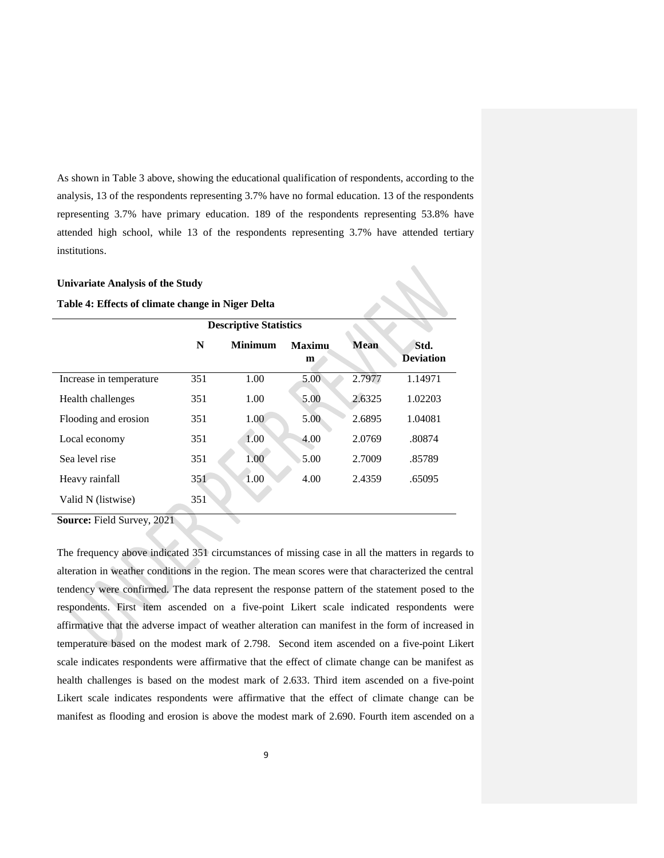As shown in Table 3 above, showing the educational qualification of respondents, according to the analysis, 13 of the respondents representing 3.7% have no formal education. 13 of the respondents representing 3.7% have primary education. 189 of the respondents representing 53.8% have attended high school, while 13 of the respondents representing 3.7% have attended tertiary institutions.

# **Univariate Analysis of the Study**

**Table 4: Effects of climate change in Niger Delta**

|                         | <b>Descriptive Statistics</b> |                |                    |             |                          |
|-------------------------|-------------------------------|----------------|--------------------|-------------|--------------------------|
|                         | N                             | <b>Minimum</b> | <b>Maximu</b><br>m | <b>Mean</b> | Std.<br><b>Deviation</b> |
| Increase in temperature | 351                           | 1.00           | 5.00               | 2.7977      | 1.14971                  |
| Health challenges       | 351                           | 1.00           | 5.00               | 2.6325      | 1.02203                  |
| Flooding and erosion    | 351                           | 1.00           | 5.00               | 2.6895      | 1.04081                  |
| Local economy           | 351                           | 1.00           | 4.00               | 2.0769      | .80874                   |
| Sea level rise          | 351                           | 1.00           | 5.00               | 2.7009      | .85789                   |
| Heavy rainfall          | 351                           | 1.00           | 4.00               | 2.4359      | .65095                   |
| Valid N (listwise)      | 351                           |                |                    |             |                          |

**Source:** Field Survey, 2021

The frequency above indicated 351 circumstances of missing case in all the matters in regards to alteration in weather conditions in the region. The mean scores were that characterized the central tendency were confirmed. The data represent the response pattern of the statement posed to the respondents. First item ascended on a five-point Likert scale indicated respondents were affirmative that the adverse impact of weather alteration can manifest in the form of increased in temperature based on the modest mark of 2.798. Second item ascended on a five-point Likert scale indicates respondents were affirmative that the effect of climate change can be manifest as health challenges is based on the modest mark of 2.633. Third item ascended on a five-point Likert scale indicates respondents were affirmative that the effect of climate change can be manifest as flooding and erosion is above the modest mark of 2.690. Fourth item ascended on a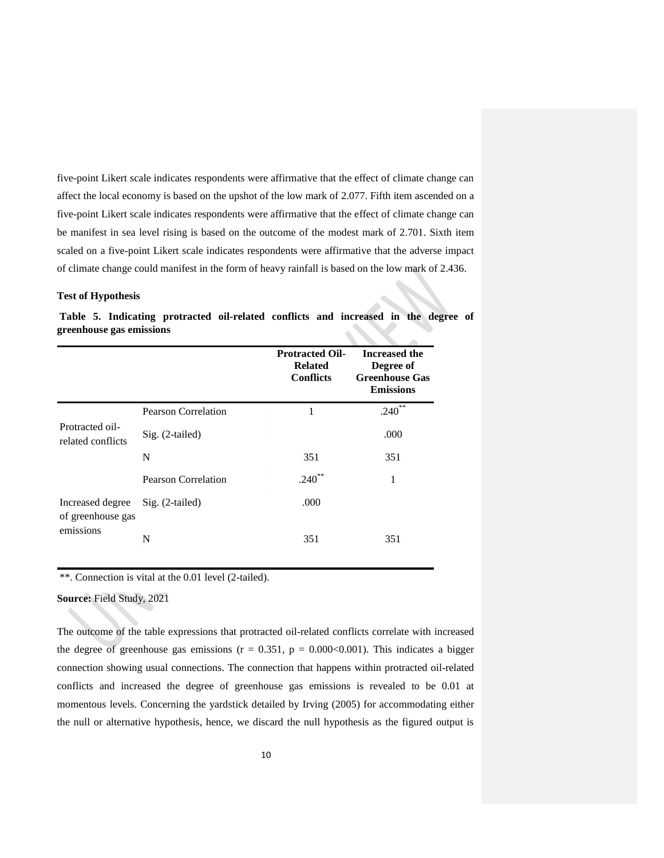five-point Likert scale indicates respondents were affirmative that the effect of climate change can affect the local economy is based on the upshot of the low mark of 2.077. Fifth item ascended on a five-point Likert scale indicates respondents were affirmative that the effect of climate change can be manifest in sea level rising is based on the outcome of the modest mark of 2.701. Sixth item scaled on a five-point Likert scale indicates respondents were affirmative that the adverse impact of climate change could manifest in the form of heavy rainfall is based on the low mark of 2.436.

## **Test of Hypothesis**

|                                       |                            | <b>Protracted Oil-</b><br><b>Related</b><br><b>Conflicts</b> | <b>Increased the</b><br>Degree of<br><b>Greenhouse Gas</b><br><b>Emissions</b> |
|---------------------------------------|----------------------------|--------------------------------------------------------------|--------------------------------------------------------------------------------|
|                                       | <b>Pearson Correlation</b> | 1                                                            | $.240**$                                                                       |
| Protracted oil-<br>related conflicts  | Sig. (2-tailed)            |                                                              | .000                                                                           |
|                                       | N                          | 351                                                          | 351                                                                            |
|                                       | <b>Pearson Correlation</b> | $.240**$                                                     | 1                                                                              |
| Increased degree<br>of greenhouse gas | Sig. (2-tailed)            | .000                                                         |                                                                                |
| emissions                             | N                          | 351                                                          | 351                                                                            |

**Table 5. Indicating protracted oil-related conflicts and increased in the degree of greenhouse gas emissions**

\*\*. Connection is vital at the 0.01 level (2-tailed).

**Source:** Field Study, 2021

The outcome of the table expressions that protracted oil-related conflicts correlate with increased the degree of greenhouse gas emissions ( $r = 0.351$ ,  $p = 0.000 \le 0.001$ ). This indicates a bigger connection showing usual connections. The connection that happens within protracted oil-related conflicts and increased the degree of greenhouse gas emissions is revealed to be 0.01 at momentous levels. Concerning the yardstick detailed by Irving (2005) for accommodating either the null or alternative hypothesis, hence, we discard the null hypothesis as the figured output is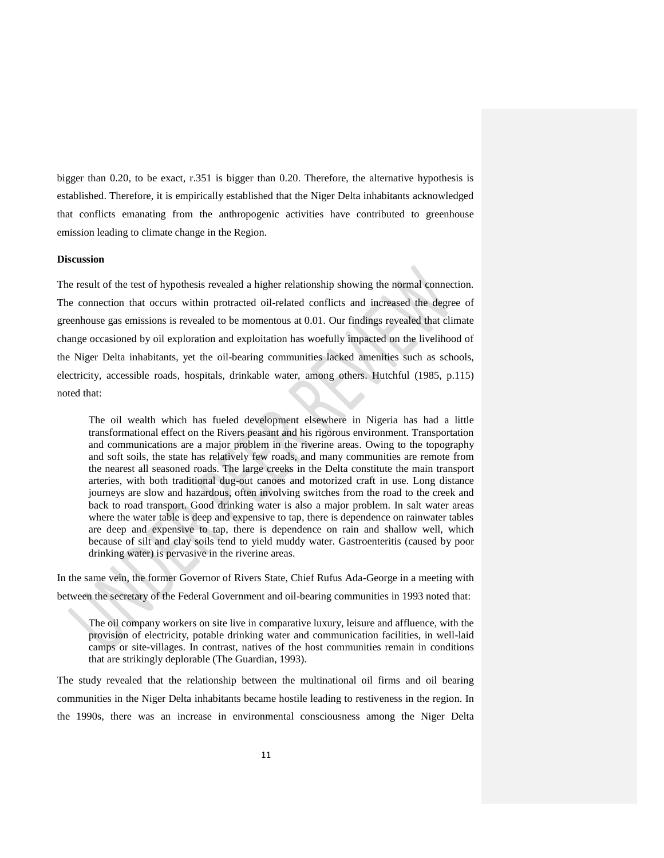bigger than 0.20, to be exact, r.351 is bigger than 0.20. Therefore, the alternative hypothesis is established. Therefore, it is empirically established that the Niger Delta inhabitants acknowledged that conflicts emanating from the anthropogenic activities have contributed to greenhouse emission leading to climate change in the Region.

#### **Discussion**

The result of the test of hypothesis revealed a higher relationship showing the normal connection. The connection that occurs within protracted oil-related conflicts and increased the degree of greenhouse gas emissions is revealed to be momentous at 0.01. Our findings revealed that climate change occasioned by oil exploration and exploitation has woefully impacted on the livelihood of the Niger Delta inhabitants, yet the oil-bearing communities lacked amenities such as schools, electricity, accessible roads, hospitals, drinkable water, among others. Hutchful (1985, p.115) noted that:

The oil wealth which has fueled development elsewhere in Nigeria has had a little transformational effect on the Rivers peasant and his rigorous environment. Transportation and communications are a major problem in the riverine areas. Owing to the topography and soft soils, the state has relatively few roads, and many communities are remote from the nearest all seasoned roads. The large creeks in the Delta constitute the main transport arteries, with both traditional dug-out canoes and motorized craft in use. Long distance journeys are slow and hazardous, often involving switches from the road to the creek and back to road transport. Good drinking water is also a major problem. In salt water areas where the water table is deep and expensive to tap, there is dependence on rainwater tables are deep and expensive to tap, there is dependence on rain and shallow well, which because of silt and clay soils tend to yield muddy water. Gastroenteritis (caused by poor drinking water) is pervasive in the riverine areas.

In the same vein, the former Governor of Rivers State, Chief Rufus Ada-George in a meeting with between the secretary of the Federal Government and oil-bearing communities in 1993 noted that:

The oil company workers on site live in comparative luxury, leisure and affluence, with the provision of electricity, potable drinking water and communication facilities, in well-laid camps or site-villages. In contrast, natives of the host communities remain in conditions that are strikingly deplorable (The Guardian, 1993).

The study revealed that the relationship between the multinational oil firms and oil bearing communities in the Niger Delta inhabitants became hostile leading to restiveness in the region. In the 1990s, there was an increase in environmental consciousness among the Niger Delta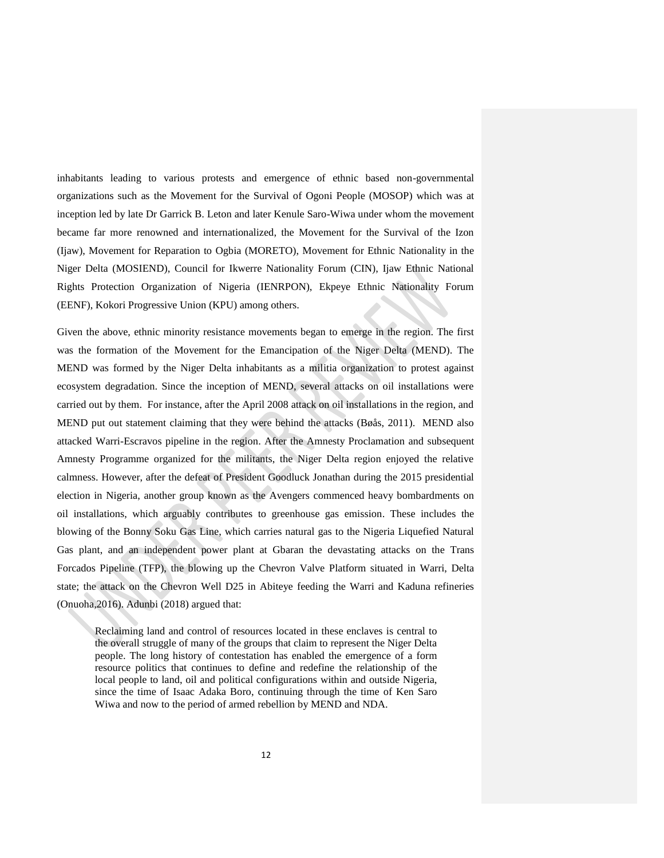inhabitants leading to various protests and emergence of ethnic based non-governmental organizations such as the Movement for the Survival of Ogoni People (MOSOP) which was at inception led by late Dr Garrick B. Leton and later Kenule Saro-Wiwa under whom the movement became far more renowned and internationalized, the Movement for the Survival of the Izon (Ijaw), Movement for Reparation to Ogbia (MORETO), Movement for Ethnic Nationality in the Niger Delta (MOSIEND), Council for Ikwerre Nationality Forum (CIN), Ijaw Ethnic National Rights Protection Organization of Nigeria (IENRPON), Ekpeye Ethnic Nationality Forum (EENF), Kokori Progressive Union (KPU) among others.

Given the above, ethnic minority resistance movements began to emerge in the region. The first was the formation of the Movement for the Emancipation of the Niger Delta (MEND). The MEND was formed by the Niger Delta inhabitants as a militia organization to protest against ecosystem degradation. Since the inception of MEND, several attacks on oil installations were carried out by them. For instance, after the April 2008 attack on oil installations in the region, and MEND put out statement claiming that they were behind the attacks (Bøås, 2011). MEND also attacked Warri-Escravos pipeline in the region. After the Amnesty Proclamation and subsequent Amnesty Programme organized for the militants, the Niger Delta region enjoyed the relative calmness. However, after the defeat of President Goodluck Jonathan during the 2015 presidential election in Nigeria, another group known as the Avengers commenced heavy bombardments on oil installations, which arguably contributes to greenhouse gas emission. These includes the blowing of the Bonny Soku Gas Line, which carries natural gas to the Nigeria Liquefied Natural Gas plant, and an independent power plant at Gbaran the devastating attacks on the Trans Forcados Pipeline (TFP), the blowing up the Chevron Valve Platform situated in Warri, Delta state; the attack on the Chevron Well D25 in Abiteye feeding the Warri and Kaduna refineries (Onuoha,2016). Adunbi (2018) argued that:

Reclaiming land and control of resources located in these enclaves is central to the overall struggle of many of the groups that claim to represent the Niger Delta people. The long history of contestation has enabled the emergence of a form resource politics that continues to define and redefine the relationship of the local people to land, oil and political configurations within and outside Nigeria, since the time of Isaac Adaka Boro, continuing through the time of Ken Saro Wiwa and now to the period of armed rebellion by MEND and NDA.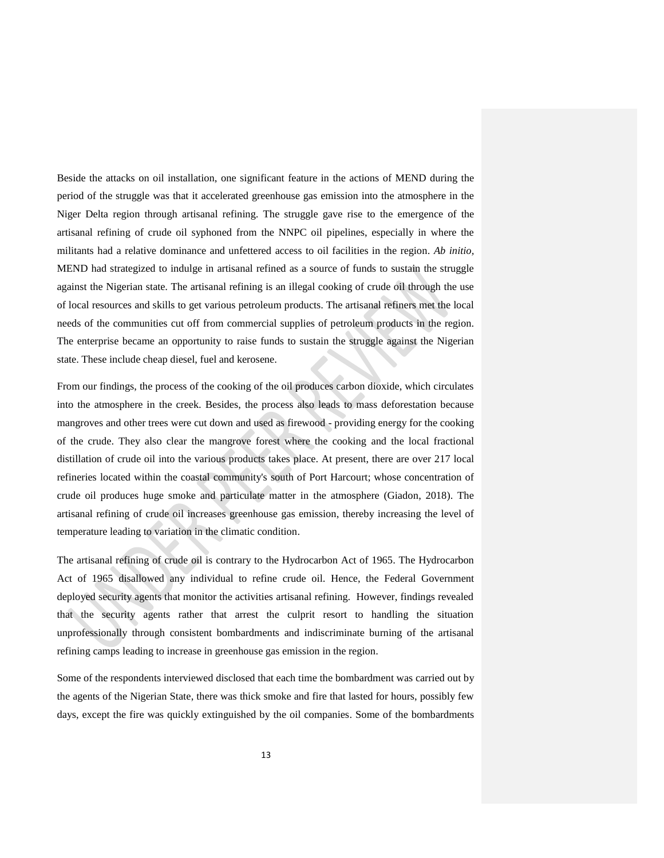Beside the attacks on oil installation, one significant feature in the actions of MEND during the period of the struggle was that it accelerated greenhouse gas emission into the atmosphere in the Niger Delta region through artisanal refining. The struggle gave rise to the emergence of the artisanal refining of crude oil syphoned from the NNPC oil pipelines, especially in where the militants had a relative dominance and unfettered access to oil facilities in the region. *Ab initio,*  MEND had strategized to indulge in artisanal refined as a source of funds to sustain the struggle against the Nigerian state. The artisanal refining is an illegal cooking of crude oil through the use of local resources and skills to get various petroleum products. The artisanal refiners met the local needs of the communities cut off from commercial supplies of petroleum products in the region. The enterprise became an opportunity to raise funds to sustain the struggle against the Nigerian state. These include cheap diesel, fuel and kerosene.

From our findings, the process of the cooking of the oil produces carbon dioxide, which circulates into the atmosphere in the creek. Besides, the process also leads to mass deforestation because mangroves and other trees were cut down and used as firewood - providing energy for the cooking of the crude. They also clear the mangrove forest where the cooking and the local fractional distillation of crude oil into the various products takes place. At present, there are over 217 local refineries located within the coastal community's south of Port Harcourt; whose concentration of crude oil produces huge smoke and particulate matter in the atmosphere (Giadon, 2018). The artisanal refining of crude oil increases greenhouse gas emission, thereby increasing the level of temperature leading to variation in the climatic condition.

The artisanal refining of crude oil is contrary to the Hydrocarbon Act of 1965. The Hydrocarbon Act of 1965 disallowed any individual to refine crude oil. Hence, the Federal Government deployed security agents that monitor the activities artisanal refining. However, findings revealed that the security agents rather that arrest the culprit resort to handling the situation unprofessionally through consistent bombardments and indiscriminate burning of the artisanal refining camps leading to increase in greenhouse gas emission in the region.

Some of the respondents interviewed disclosed that each time the bombardment was carried out by the agents of the Nigerian State, there was thick smoke and fire that lasted for hours, possibly few days, except the fire was quickly extinguished by the oil companies. Some of the bombardments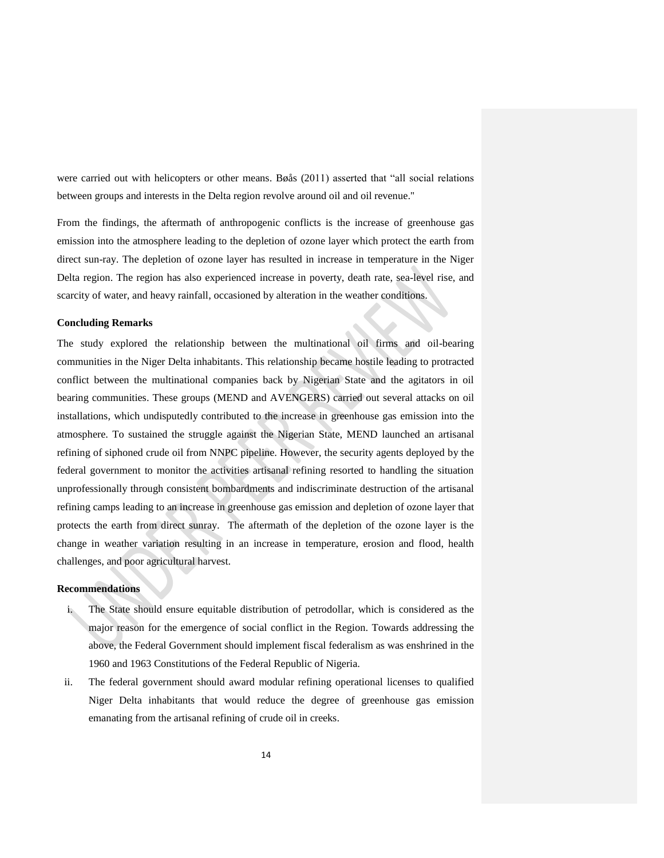were carried out with helicopters or other means. Bøås (2011) asserted that "all social relations between groups and interests in the Delta region revolve around oil and oil revenue."

From the findings, the aftermath of anthropogenic conflicts is the increase of greenhouse gas emission into the atmosphere leading to the depletion of ozone layer which protect the earth from direct sun-ray. The depletion of ozone layer has resulted in increase in temperature in the Niger Delta region. The region has also experienced increase in poverty, death rate, sea-level rise, and scarcity of water, and heavy rainfall, occasioned by alteration in the weather conditions.

## **Concluding Remarks**

The study explored the relationship between the multinational oil firms and oil-bearing communities in the Niger Delta inhabitants. This relationship became hostile leading to protracted conflict between the multinational companies back by Nigerian State and the agitators in oil bearing communities. These groups (MEND and AVENGERS) carried out several attacks on oil installations, which undisputedly contributed to the increase in greenhouse gas emission into the atmosphere. To sustained the struggle against the Nigerian State, MEND launched an artisanal refining of siphoned crude oil from NNPC pipeline. However, the security agents deployed by the federal government to monitor the activities artisanal refining resorted to handling the situation unprofessionally through consistent bombardments and indiscriminate destruction of the artisanal refining camps leading to an increase in greenhouse gas emission and depletion of ozone layer that protects the earth from direct sunray. The aftermath of the depletion of the ozone layer is the change in weather variation resulting in an increase in temperature, erosion and flood, health challenges, and poor agricultural harvest.

## **Recommendations**

- i. The State should ensure equitable distribution of petrodollar, which is considered as the major reason for the emergence of social conflict in the Region. Towards addressing the above, the Federal Government should implement fiscal federalism as was enshrined in the 1960 and 1963 Constitutions of the Federal Republic of Nigeria.
- ii. The federal government should award modular refining operational licenses to qualified Niger Delta inhabitants that would reduce the degree of greenhouse gas emission emanating from the artisanal refining of crude oil in creeks.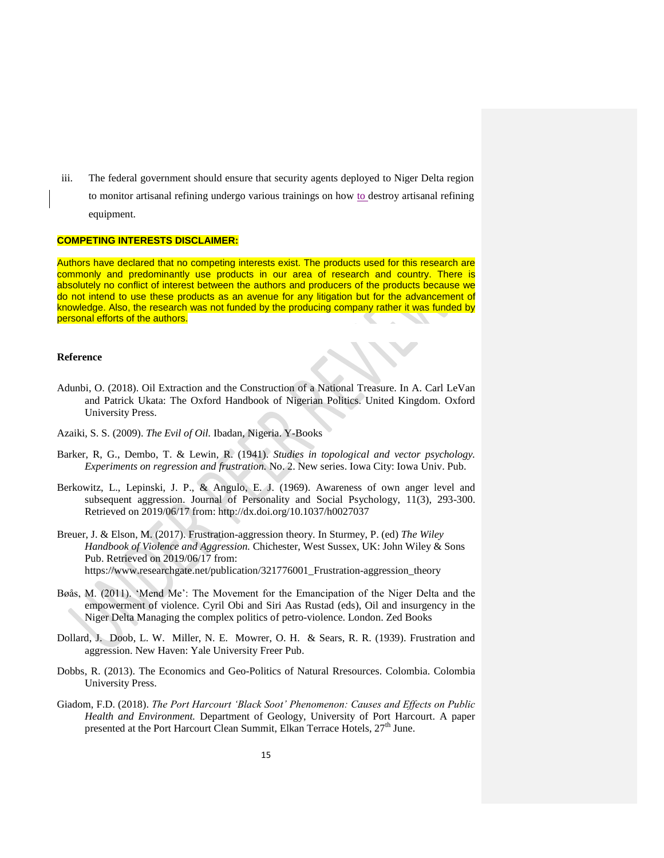iii. The federal government should ensure that security agents deployed to Niger Delta region

to monitor artisanal refining undergo various trainings on how to destroy artisanal refining equipment.

#### **COMPETING INTERESTS DISCLAIMER:**

Authors have declared that no competing interests exist. The products used for this research are commonly and predominantly use products in our area of research and country. There is absolutely no conflict of interest between the authors and producers of the products because we do not intend to use these products as an avenue for any litigation but for the advancement of knowledge. Also, the research was not funded by the producing company rather it was funded by personal efforts of the authors.

# **Reference**

- Adunbi, O. (2018). Oil Extraction and the Construction of a National Treasure. In A. Carl LeVan and Patrick Ukata: The Oxford Handbook of Nigerian Politics. United Kingdom. Oxford University Press.
- Azaiki, S. S. (2009). *The Evil of Oil.* Ibadan, Nigeria. Y-Books
- Barker, R, G., Dembo, T. & Lewin, R. (1941). *Studies in topological and vector psychology. Experiments on regression and frustration.* No. 2. New series. Iowa City: Iowa Univ. Pub.
- Berkowitz, L., Lepinski, J. P., & Angulo, E. J. (1969). Awareness of own anger level and subsequent aggression. Journal of Personality and Social Psychology, 11(3), 293-300. Retrieved on 2019/06/17 from: http://dx.doi.org/10.1037/h0027037
- Breuer, J. & Elson, M. (2017). Frustration-aggression theory. In Sturmey, P. (ed) *The Wiley Handbook of Violence and Aggression.* Chichester, West Sussex, UK: John Wiley & Sons Pub. Retrieved on 2019/06/17 from: https://www.researchgate.net/publication/321776001\_Frustration-aggression\_theory
- Bøås, M. (2011). 'Mend Me': The Movement for the Emancipation of the Niger Delta and the empowerment of violence. Cyril Obi and Siri Aas Rustad (eds), Oil and insurgency in the Niger Delta Managing the complex politics of petro-violence. London. Zed Books
- Dollard, J. Doob, L. W. Miller, N. E. Mowrer, O. H. & Sears, R. R. (1939). Frustration and aggression. New Haven: Yale University Freer Pub.
- Dobbs, R. (2013). The Economics and Geo-Politics of Natural Rresources. Colombia. Colombia University Press.
- Giadom, F.D. (2018). *The Port Harcourt 'Black Soot' Phenomenon: Causes and Effects on Public Health and Environment.* Department of Geology, University of Port Harcourt. A paper presented at the Port Harcourt Clean Summit, Elkan Terrace Hotels,  $27<sup>th</sup>$  June.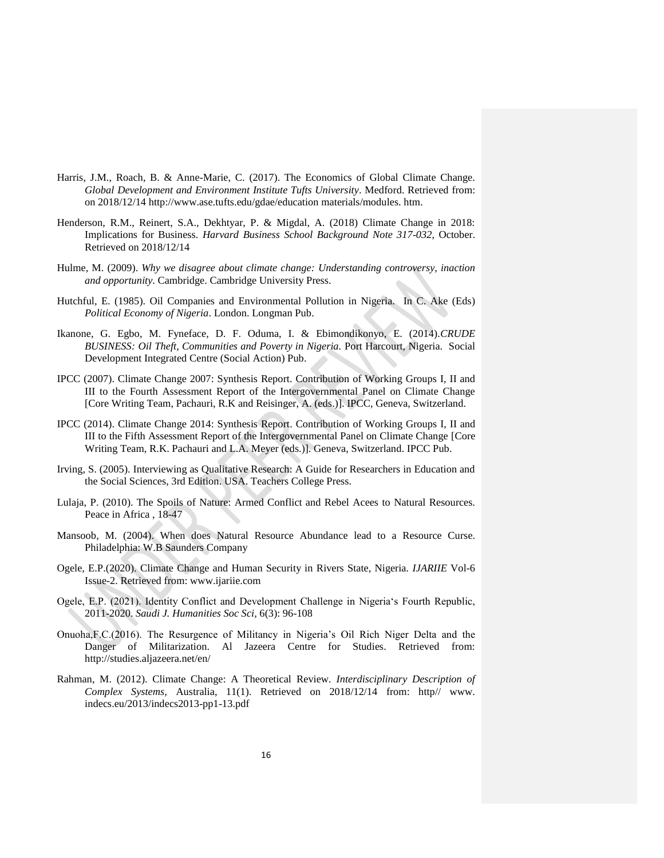- Harris, J.M., Roach, B. & Anne-Marie, C. (2017). The Economics of Global Climate Change. *Global Development and Environment Institute Tufts University*. Medford. Retrieved from: on 2018/12/14 http://www.ase.tufts.edu/gdae/education materials/modules. htm.
- Henderson, R.M., Reinert, S.A., Dekhtyar, P. & Migdal, A. (2018) Climate Change in 2018: Implications for Business. *Harvard Business School Background Note 317-032*, October. Retrieved on 2018/12/14
- Hulme, M. (2009). *Why we disagree about climate change: Understanding controversy, inaction and opportunity*. Cambridge. Cambridge University Press.
- Hutchful, E. (1985). Oil Companies and Environmental Pollution in Nigeria. In C. Ake (Eds) *Political Economy of Nigeria*. London. Longman Pub.
- Ikanone, G. Egbo, M. Fyneface, D. F. Oduma, I. & Ebimondikonyo, E. (2014).*CRUDE BUSINESS: Oil Theft, Communities and Poverty in Nigeria.* Port Harcourt, Nigeria. Social Development Integrated Centre (Social Action) Pub.
- IPCC (2007). Climate Change 2007: Synthesis Report. Contribution of Working Groups I, II and III to the Fourth Assessment Report of the Intergovernmental Panel on Climate Change [Core Writing Team, Pachauri, R.K and Reisinger, A. (eds.)]. IPCC, Geneva, Switzerland.
- IPCC (2014). Climate Change 2014: Synthesis Report. Contribution of Working Groups I, II and III to the Fifth Assessment Report of the Intergovernmental Panel on Climate Change [Core Writing Team, R.K. Pachauri and L.A. Meyer (eds.)]. Geneva, Switzerland. IPCC Pub.
- Irving, S. (2005). Interviewing as Qualitative Research: A Guide for Researchers in Education and the Social Sciences, 3rd Edition. USA. Teachers College Press.
- Lulaja, P. (2010). The Spoils of Nature: Armed Conflict and Rebel Acees to Natural Resources. Peace in Africa , 18-47
- Mansoob, M. (2004). When does Natural Resource Abundance lead to a Resource Curse. Philadelphia: W.B Saunders Company
- Ogele, E.P.(2020). Climate Change and Human Security in Rivers State, Nigeria*. IJARIIE* Vol-6 Issue-2. Retrieved from: www.ijariie.com
- Ogele, E.P. (2021). Identity Conflict and Development Challenge in Nigeria's Fourth Republic, 2011-2020. *Saudi J. Humanities Soc Sci*, 6(3): 96-108
- Onuoha,F.C.(2016). The Resurgence of Militancy in Nigeria's Oil Rich Niger Delta and the Danger of Militarization. Al Jazeera Centre for Studies. Retrieved from: http://studies.aljazeera.net/en/
- Rahman, M. (2012). Climate Change: A Theoretical Review*. Interdisciplinary Description of Complex Systems,* Australia, 11(1). Retrieved on 2018/12/14 from: http// www. indecs.eu/2013/indecs2013-pp1-13.pdf